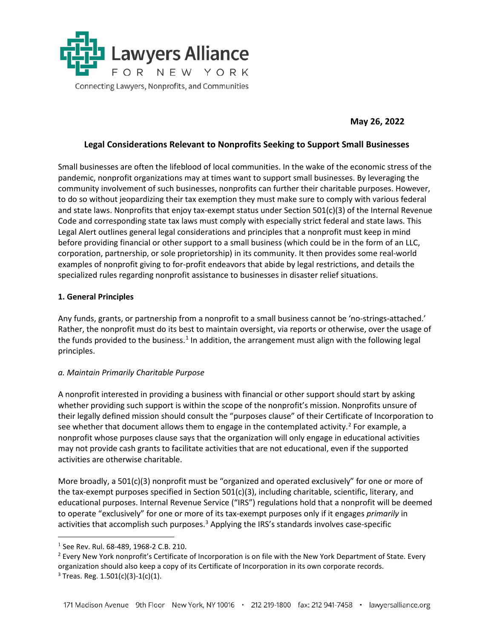

**May 26, 2022**

### **Legal Considerations Relevant to Nonprofits Seeking to Support Small Businesses**

Small businesses are often the lifeblood of local communities. In the wake of the economic stress of the pandemic, nonprofit organizations may at times want to support small businesses. By leveraging the community involvement of such businesses, nonprofits can further their charitable purposes. However, to do so without jeopardizing their tax exemption they must make sure to comply with various federal and state laws. Nonprofits that enjoy tax-exempt status under Section 501(c)(3) of the Internal Revenue Code and corresponding state tax laws must comply with especially strict federal and state laws. This Legal Alert outlines general legal considerations and principles that a nonprofit must keep in mind before providing financial or other support to a small business (which could be in the form of an LLC, corporation, partnership, or sole proprietorship) in its community. It then provides some real-world examples of nonprofit giving to for-profit endeavors that abide by legal restrictions, and details the specialized rules regarding nonprofit assistance to businesses in disaster relief situations.

#### **1. General Principles**

Any funds, grants, or partnership from a nonprofit to a small business cannot be 'no-strings-attached.' Rather, the nonprofit must do its best to maintain oversight, via reports or otherwise, over the usage of the funds provided to the business.<sup>[1](#page-0-0)</sup> In addition, the arrangement must align with the following legal principles.

#### *a. Maintain Primarily Charitable Purpose*

A nonprofit interested in providing a business with financial or other support should start by asking whether providing such support is within the scope of the nonprofit's mission. Nonprofits unsure of their legally defined mission should consult the "purposes clause" of their Certificate of Incorporation to see whether that document allows them to engage in the contemplated activity.<sup>[2](#page-0-1)</sup> For example, a nonprofit whose purposes clause says that the organization will only engage in educational activities may not provide cash grants to facilitate activities that are not educational, even if the supported activities are otherwise charitable.

More broadly, a 501(c)(3) nonprofit must be "organized and operated exclusively" for one or more of the tax-exempt purposes specified in Section 501(c)(3), including charitable, scientific, literary, and educational purposes. Internal Revenue Service ("IRS") regulations hold that a nonprofit will be deemed to operate "exclusively" for one or more of its tax-exempt purposes only if it engages *primarily* in activities that accomplish such purposes.<sup>[3](#page-0-2)</sup> Applying the IRS's standards involves case-specific

<span id="page-0-0"></span><sup>&</sup>lt;sup>1</sup> See Rev. Rul. 68-489, 1968-2 C.B. 210.

<span id="page-0-1"></span><sup>&</sup>lt;sup>2</sup> Every New York nonprofit's Certificate of Incorporation is on file with the New York Department of State. Every organization should also keep a copy of its Certificate of Incorporation in its own corporate records.

<span id="page-0-2"></span> $3$  Treas. Reg. 1.501(c)(3)-1(c)(1).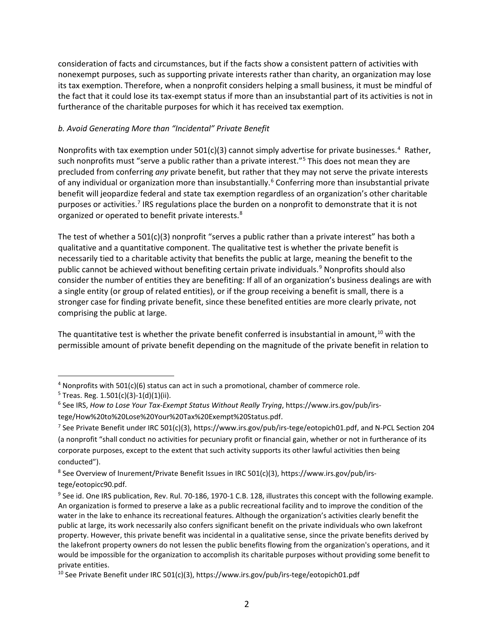consideration of facts and circumstances, but if the facts show a consistent pattern of activities with nonexempt purposes, such as supporting private interests rather than charity, an organization may lose its tax exemption. Therefore, when a nonprofit considers helping a small business, it must be mindful of the fact that it could lose its tax-exempt status if more than an insubstantial part of its activities is not in furtherance of the charitable purposes for which it has received tax exemption.

### *b. Avoid Generating More than "Incidental" Private Benefit*

Nonprofits with tax exemption under  $501(c)(3)$  cannot simply advertise for private businesses.<sup>[4](#page-1-0)</sup> Rather, such nonprofits must "serve a public rather than a private interest."<sup>5</sup> This does not mean they are precluded from conferring *any* private benefit, but rather that they may not serve the private interests of any individual or organization more than insubstantially.<sup>[6](#page-1-2)</sup> Conferring more than insubstantial private benefit will jeopardize federal and state tax exemption regardless of an organization's other charitable purposes or activities.<sup>[7](#page-1-3)</sup> IRS regulations place the burden on a nonprofit to demonstrate that it is not organized or operated to benefit private interests.<sup>[8](#page-1-4)</sup>

The test of whether a 501(c)(3) nonprofit "serves a public rather than a private interest" has both a qualitative and a quantitative component. The qualitative test is whether the private benefit is necessarily tied to a charitable activity that benefits the public at large, meaning the benefit to the public cannot be achieved without benefiting certain private individuals.<sup>[9](#page-1-5)</sup> Nonprofits should also consider the number of entities they are benefiting: If all of an organization's business dealings are with a single entity (or group of related entities), or if the group receiving a benefit is small, there is a stronger case for finding private benefit, since these benefited entities are more clearly private, not comprising the public at large.

The quantitative test is whether the private benefit conferred is insubstantial in amount.<sup>[10](#page-1-6)</sup> with the permissible amount of private benefit depending on the magnitude of the private benefit in relation to

 $\overline{a}$ 

<span id="page-1-4"></span><sup>8</sup> See Overview of Inurement/Private Benefit Issues in IRC 501(c)(3), https://www.irs.gov/pub/irstege/eotopicc90.pdf.

<span id="page-1-0"></span><sup>&</sup>lt;sup>4</sup> Nonprofits with 501(c)(6) status can act in such a promotional, chamber of commerce role.

<span id="page-1-1"></span> $5$  Treas. Reg. 1.501(c)(3)-1(d)(1)(ii).

<span id="page-1-2"></span><sup>6</sup> See IRS, *How to Lose Your Tax-Exempt Status Without Really Trying*, https://www.irs.gov/pub/irstege/How%20to%20Lose%20Your%20Tax%20Exempt%20Status.pdf.

<span id="page-1-3"></span><sup>7</sup> See Private Benefit under IRC 501(c)(3), https://www.irs.gov/pub/irs-tege/eotopich01.pdf, and N-PCL Section 204 (a nonprofit "shall conduct no activities for pecuniary profit or financial gain, whether or not in furtherance of its corporate purposes, except to the extent that such activity supports its other lawful activities then being conducted").

<span id="page-1-5"></span><sup>&</sup>lt;sup>9</sup> See id. One IRS publication, Rev. Rul. 70-186, 1970-1 C.B. 128, illustrates this concept with the following example. An organization is formed to preserve a lake as a public recreational facility and to improve the condition of the water in the lake to enhance its recreational features. Although the organization's activities clearly benefit the public at large, its work necessarily also confers significant benefit on the private individuals who own lakefront property. However, this private benefit was incidental in a qualitative sense, since the private benefits derived by the lakefront property owners do not lessen the public benefits flowing from the organization's operations, and it would be impossible for the organization to accomplish its charitable purposes without providing some benefit to private entities.

<span id="page-1-6"></span><sup>&</sup>lt;sup>10</sup> See Private Benefit under IRC 501(c)(3), https://www.irs.gov/pub/irs-tege/eotopich01.pdf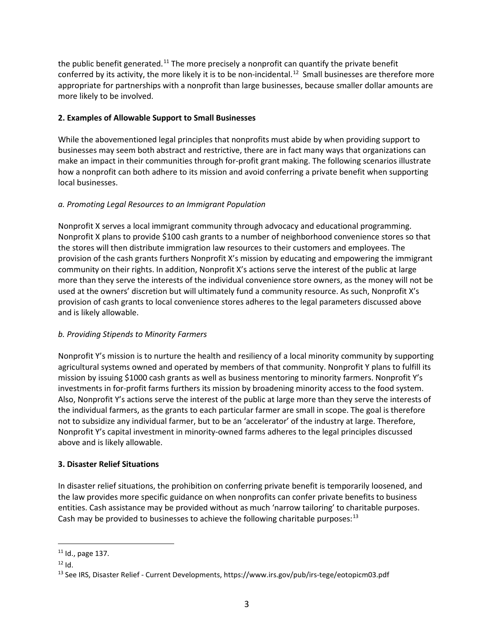the public benefit generated.<sup>[11](#page-2-0)</sup> The more precisely a nonprofit can quantify the private benefit conferred by its activity, the more likely it is to be non-incidental.<sup>[12](#page-2-1)</sup> Small businesses are therefore more appropriate for partnerships with a nonprofit than large businesses, because smaller dollar amounts are more likely to be involved.

# **2. Examples of Allowable Support to Small Businesses**

While the abovementioned legal principles that nonprofits must abide by when providing support to businesses may seem both abstract and restrictive, there are in fact many ways that organizations can make an impact in their communities through for-profit grant making. The following scenarios illustrate how a nonprofit can both adhere to its mission and avoid conferring a private benefit when supporting local businesses.

# *a. Promoting Legal Resources to an Immigrant Population*

Nonprofit X serves a local immigrant community through advocacy and educational programming. Nonprofit X plans to provide \$100 cash grants to a number of neighborhood convenience stores so that the stores will then distribute immigration law resources to their customers and employees. The provision of the cash grants furthers Nonprofit X's mission by educating and empowering the immigrant community on their rights. In addition, Nonprofit X's actions serve the interest of the public at large more than they serve the interests of the individual convenience store owners, as the money will not be used at the owners' discretion but will ultimately fund a community resource. As such, Nonprofit X's provision of cash grants to local convenience stores adheres to the legal parameters discussed above and is likely allowable.

## *b. Providing Stipends to Minority Farmers*

Nonprofit Y's mission is to nurture the health and resiliency of a local minority community by supporting agricultural systems owned and operated by members of that community. Nonprofit Y plans to fulfill its mission by issuing \$1000 cash grants as well as business mentoring to minority farmers. Nonprofit Y's investments in for-profit farms furthers its mission by broadening minority access to the food system. Also, Nonprofit Y's actions serve the interest of the public at large more than they serve the interests of the individual farmers, as the grants to each particular farmer are small in scope. The goal is therefore not to subsidize any individual farmer, but to be an 'accelerator' of the industry at large. Therefore, Nonprofit Y's capital investment in minority-owned farms adheres to the legal principles discussed above and is likely allowable.

## **3. Disaster Relief Situations**

In disaster relief situations, the prohibition on conferring private benefit is temporarily loosened, and the law provides more specific guidance on when nonprofits can confer private benefits to business entities. Cash assistance may be provided without as much 'narrow tailoring' to charitable purposes. Cash may be provided to businesses to achieve the following charitable purposes: $^{13}$  $^{13}$  $^{13}$ 

<span id="page-2-0"></span> $\overline{a}$  $11$  Id., page 137.

<span id="page-2-1"></span> $12$  Id.

<span id="page-2-2"></span><sup>13</sup> See IRS, Disaster Relief - Current Developments, https://www.irs.gov/pub/irs-tege/eotopicm03.pdf